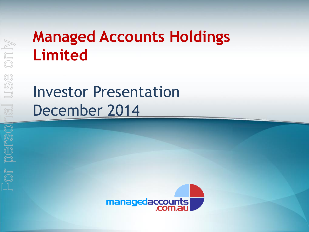# **Managed Accounts Holdings Limited**

Investor Presentation December 2014

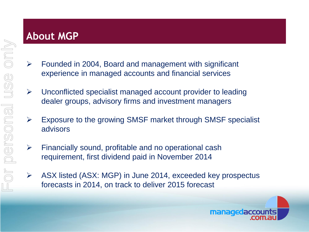### **About MGP**

- $\triangleright$  Founded in 2004, Board and management with significant experience in managed accounts and financial services
- $\triangleright$  Unconflicted specialist managed account provider to leading dealer groups, advisory firms and investment managers
- $\triangleright$  Exposure to the growing SMSF market through SMSF specialist advisors
- $\triangleright$  Financially sound, profitable and no operational cash requirement, first dividend paid in November 2014
- $\triangleright$  ASX listed (ASX: MGP) in June 2014, exceeded key prospectus forecasts in 2014, on track to deliver 2015 forecast

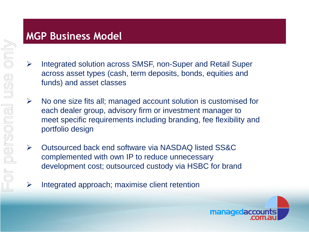## **MGP Business Model**

- $\triangleright$  Integrated solution across SMSF, non-Super and Retail Super across asset types (cash, term deposits, bonds, equities and funds) and asset classes
- $\triangleright$  No one size fits all; managed account solution is customised for each dealer group, advisory firm or investment manager to meet specific requirements including branding, fee flexibility and portfolio design
- Outsourced back end software via NASDAQ listed SS&C complemented with own IP to reduce unnecessary development cost; outsourced custody via HSBC for brand
	- Integrated approach; maximise client retention

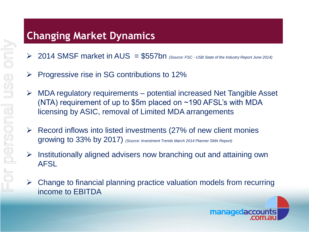## **Changing Market Dynamics**

- 2014 SMSF market in AUS = \$557bn *(Source: FSC - USB State of the Industry Report June 2014)*
- $\triangleright$  Progressive rise in SG contributions to 12%
- $\triangleright$  MDA regulatory requirements potential increased Net Tangible Asset (NTA) requirement of up to \$5m placed on  $\sim$ 190 AFSL's with MDA licensing by ASIC, removal of Limited MDA arrangements
- $\triangleright$  Record inflows into listed investments (27% of new client monies growing to 33% by 2017) *(Source: Investment Trends March 2014 Planner SMA Report)*
- $\triangleright$  Institutionally aligned advisers now branching out and attaining own AFSL
- $\triangleright$  Change to financial planning practice valuation models from recurring income to EBITDA

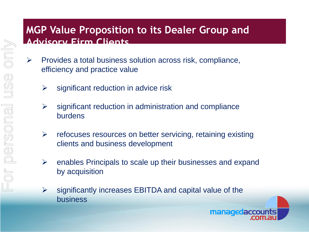#### **MGP Value Proposition to its Dealer Group and Advisory Firm Clients**

- $\triangleright$  Provides a total business solution across risk, compliance, efficiency and practice value
	- $\triangleright$  significant reduction in advice risk
	- $\triangleright$  significant reduction in administration and compliance burdens
	- $\triangleright$  refocuses resources on better servicing, retaining existing clients and business development
	- $\triangleright$  enables Principals to scale up their businesses and expand by acquisition

managedaccounts

 $\triangleright$  significantly increases EBITDA and capital value of the business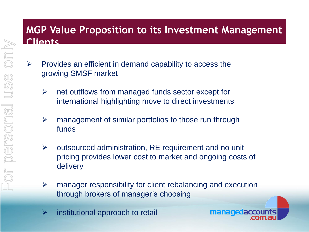#### **MGP Value Proposition to its Investment Management Clients**

- $\triangleright$  Provides an efficient in demand capability to access the growing SMSF market
	- $\triangleright$  net outflows from managed funds sector except for international highlighting move to direct investments
	- $\triangleright$  management of similar portfolios to those run through funds
	- $\triangleright$  outsourced administration, RE requirement and no unit pricing provides lower cost to market and ongoing costs of delivery
	- $\triangleright$  manager responsibility for client rebalancing and execution through brokers of manager's choosing
	- $\triangleright$  institutional approach to retail

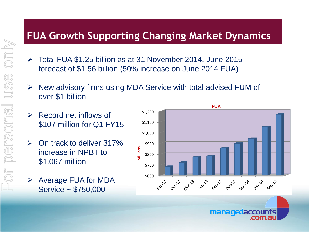## **FUA Growth Supporting Changing Market Dynamics**

- Total FUA \$1.25 billion as at 31 November 2014, June 2015 forecast of \$1.56 billion (50% increase on June 2014 FUA)
- $\triangleright$  New advisory firms using MDA Service with total advised FUM of over \$1 billion
- $\triangleright$  Record net inflows of \$107 million for Q1 FY15
- $\triangleright$  On track to deliver 317% increase in NPBT to \$1.067 million
	- Average FUA for MDA Service ~ \$750,000



managedaccounts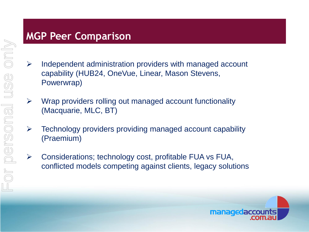## **MGP Peer Comparison**

- $\triangleright$  Independent administration providers with managed account capability (HUB24, OneVue, Linear, Mason Stevens, Powerwrap)
- $\triangleright$  Wrap providers rolling out managed account functionality (Macquarie, MLC, BT)
- $\triangleright$  Technology providers providing managed account capability (Praemium)
- $\triangleright$  Considerations; technology cost, profitable FUA vs FUA, conflicted models competing against clients, legacy solutions

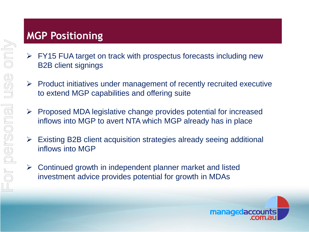## **MGP Positioning**

- $\triangleright$  FY15 FUA target on track with prospectus forecasts including new B2B client signings
- $\triangleright$  Product initiatives under management of recently recruited executive to extend MGP capabilities and offering suite
- $\triangleright$  Proposed MDA legislative change provides potential for increased inflows into MGP to avert NTA which MGP already has in place
- $\triangleright$  Existing B2B client acquisition strategies already seeing additional inflows into MGP
- $\triangleright$  Continued growth in independent planner market and listed investment advice provides potential for growth in MDAs